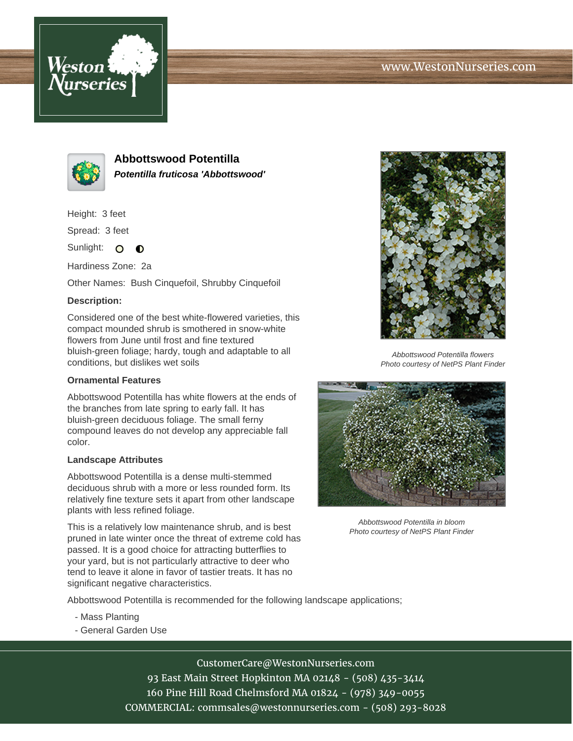



**Abbottswood Potentilla Potentilla fruticosa 'Abbottswood'**

Height: 3 feet

Spread: 3 feet

Sunlight: O **O** 

Hardiness Zone: 2a

Other Names: Bush Cinquefoil, Shrubby Cinquefoil

## **Description:**

Considered one of the best white-flowered varieties, this compact mounded shrub is smothered in snow-white flowers from June until frost and fine textured bluish-green foliage; hardy, tough and adaptable to all conditions, but dislikes wet soils

## **Ornamental Features**

Abbottswood Potentilla has white flowers at the ends of the branches from late spring to early fall. It has bluish-green deciduous foliage. The small ferny compound leaves do not develop any appreciable fall color.

## **Landscape Attributes**

Abbottswood Potentilla is a dense multi-stemmed deciduous shrub with a more or less rounded form. Its relatively fine texture sets it apart from other landscape plants with less refined foliage.

This is a relatively low maintenance shrub, and is best pruned in late winter once the threat of extreme cold has passed. It is a good choice for attracting butterflies to your yard, but is not particularly attractive to deer who tend to leave it alone in favor of tastier treats. It has no significant negative characteristics.



Abbottswood Potentilla flowers Photo courtesy of NetPS Plant Finder



Abbottswood Potentilla in bloom Photo courtesy of NetPS Plant Finder

Abbottswood Potentilla is recommended for the following landscape applications;

- Mass Planting
- General Garden Use

CustomerCare@WestonNurseries.com 93 East Main Street Hopkinton MA 02148 - (508) 435-3414 160 Pine Hill Road Chelmsford MA 01824 - (978) 349-0055 COMMERCIAL: commsales@westonnurseries.com - (508) 293-8028